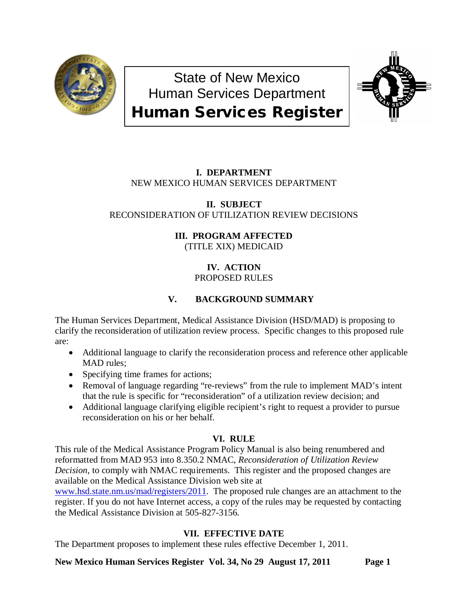

State of New Mexico Human Services Department Human Services Register



## **I. DEPARTMENT** NEW MEXICO HUMAN SERVICES DEPARTMENT

## **II. SUBJECT** RECONSIDERATION OF UTILIZATION REVIEW DECISIONS

# **III. PROGRAM AFFECTED**

(TITLE XIX) MEDICAID

## **IV. ACTION** PROPOSED RULES

# **V. BACKGROUND SUMMARY**

The Human Services Department, Medical Assistance Division (HSD/MAD) is proposing to clarify the reconsideration of utilization review process. Specific changes to this proposed rule are:

- Additional language to clarify the reconsideration process and reference other applicable MAD rules;
- Specifying time frames for actions;
- Removal of language regarding "re-reviews" from the rule to implement MAD's intent that the rule is specific for "reconsideration" of a utilization review decision; and
- Additional language clarifying eligible recipient's right to request a provider to pursue reconsideration on his or her behalf.

## **VI. RULE**

This rule of the Medical Assistance Program Policy Manual is also being renumbered and reformatted from MAD 953 into 8.350.2 NMAC, *Reconsideration of Utilization Review Decision,* to comply with NMAC requirements. This register and the proposed changes are available on the Medical Assistance Division web site at

[www.hsd.state.nm.us/mad/registers/2011.](http://www.hsd.state.nm.us/mad/registers/2011) The proposed rule changes are an attachment to the register. If you do not have Internet access, a copy of the rules may be requested by contacting the Medical Assistance Division at 505-827-3156.

# **VII. EFFECTIVE DATE**

The Department proposes to implement these rules effective December 1, 2011.

**New Mexico Human Services Register Vol. 34, No 29 August 17, 2011 Page 1**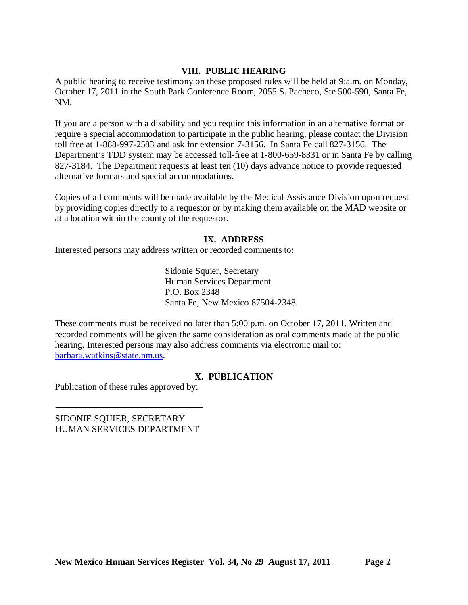## **VIII. PUBLIC HEARING**

A public hearing to receive testimony on these proposed rules will be held at 9:a.m. on Monday, October 17, 2011 in the South Park Conference Room, 2055 S. Pacheco, Ste 500-590, Santa Fe, NM.

If you are a person with a disability and you require this information in an alternative format or require a special accommodation to participate in the public hearing, please contact the Division toll free at 1-888-997-2583 and ask for extension 7-3156. In Santa Fe call 827-3156. The Department's TDD system may be accessed toll-free at 1-800-659-8331 or in Santa Fe by calling 827-3184. The Department requests at least ten (10) days advance notice to provide requested alternative formats and special accommodations.

Copies of all comments will be made available by the Medical Assistance Division upon request by providing copies directly to a requestor or by making them available on the MAD website or at a location within the county of the requestor.

## **IX. ADDRESS**

Interested persons may address written or recorded comments to:

Sidonie Squier, Secretary Human Services Department P.O. Box 2348 Santa Fe, New Mexico 87504-2348

These comments must be received no later than 5:00 p.m. on October 17, 2011. Written and recorded comments will be given the same consideration as oral comments made at the public hearing. Interested persons may also address comments via electronic mail to: [barbara.watkins@state.nm.us.](mailto:barbara.watkins@state.nm.us)

## **X. PUBLICATION**

Publication of these rules approved by:

SIDONIE SQUIER, SECRETARY HUMAN SERVICES DEPARTMENT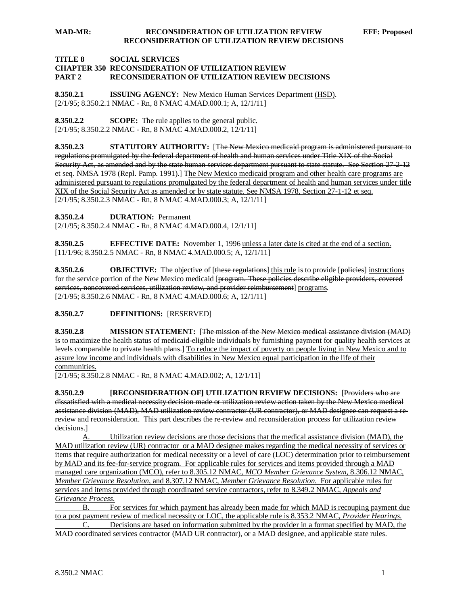#### **MAD-MR: RECONSIDERATION OF UTILIZATION REVIEW EFF: Proposed RECONSIDERATION OF UTILIZATION REVIEW DECISIONS**

### **TITLE 8 SOCIAL SERVICES CHAPTER 350 RECONSIDERATION OF UTILIZATION REVIEW PART 2 RECONSIDERATION OF UTILIZATION REVIEW DECISIONS**

**8.350.2.1 ISSUING AGENCY:** New Mexico Human Services Department (HSD). [2/1/95; 8.350.2.1 NMAC - Rn, 8 NMAC 4.MAD.000.1; A, 12/1/11]

**8.350.2.2 SCOPE:** The rule applies to the general public. [2/1/95; 8.350.2.2 NMAC - Rn, 8 NMAC 4.MAD.000.2, 12/1/11]

**8.350.2.3 STATUTORY AUTHORITY:** [The New Mexico medicaid program is administered pursuant to regulations promulgated by the federal department of health and human services under Title XIX of the Social Security Act, as amended and by the state human services department pursuant to state statute. See Section 27-2-12 et seq. NMSA 1978 (Repl. Pamp. 1991).] T<u>he New Mexico medicaid program and other health care programs are</u> [2/1/95; 8.350.2.3 NMAC - Rn, 8 NMAC 4.MAD.000.3; A, 12/1/11] administered pursuant to regulations promulgated by the federal department of health and human services under title XIX of the Social Security Act as amended or by state statute. See NMSA 1978, Section 27-1-12 et seq.

**8.350.2.4 DURATION:** Permanent

[2/1/95; 8.350.2.4 NMAC - Rn, 8 NMAC 4.MAD.000.4, 12/1/11]

**8.350.2.5 EFFECTIVE DATE:** November 1, 1996 unless a later date is cited at the end of a section. [11/1/96; 8.350.2.5 NMAC - Rn, 8 NMAC 4.MAD.000.5; A, 12/1/11]

**8.350.2.6 OBJECTIVE:** The objective of [these regulations] this rule is to provide [policies] instructions for the service portion of the New Mexico medicaid [program. These policies describe eligible providers, covered services, noncovered services, utilization review, and provider reimbursement] programs. [2/1/95; 8.350.2.6 NMAC - Rn, 8 NMAC 4.MAD.000.6; A, 12/1/11]

### **8.350.2.7 DEFINITIONS:** [RESERVED]

**8.350.2.8 MISSION STATEMENT:** [The mission of the New Mexico medical assistance division (MAD) is to maximize the health status of medicaid-eligible individuals by furnishing payment for quality health services at levels comparable to private health plans.] To reduce the impact of poverty on people living in New Mexico and to assure low income and individuals with disabilities in New Mexico equal participation in the life of their communities.

[2/1/95; 8.350.2.8 NMAC - Rn, 8 NMAC 4.MAD.002; A, 12/1/11]

**8.350.2.9 [RECONSIDERATION OF] UTILIZATION REVIEW DECISIONS:** [Providers who are dissatisfied with a medical necessity decision made or utilization review action taken by the New Mexico medical assistance division (MAD), MAD utilization review contractor (UR contractor), or MAD designee can request a rereview and reconsideration. This part describes the re-review and reconsideration process for utilization review decisions.]

A. Utilization review decisions are those decisions that the medical assistance division (MAD), the MAD utilization review (UR) contractor or a MAD designee makes regarding the medical necessity of services or items that require authorization for medical necessity or a level of care (LOC) determination prior to reimbursement by MAD and its fee-for-service program. For applicable rules for services and items provided through a MAD managed care organization (MCO), refer to 8.305.12 NMAC, *MCO Member Grievance System,* 8.306.12 NMAC, *Member Grievance Resolution*, and 8.307.12 NMAC, *Member Grievance Resolution*. For applicable rules for services and items provided through coordinated service contractors, refer to 8.349.2 NMAC, *Appeals and Grievance Process*.

B. For services for which payment has already been made for which MAD is recouping payment due to a post payment review of medical necessity or LOC, the applicable rule is 8.353.2 NMAC, *Provider Hearings.* C. Decisions are based on information submitted by the provider in a format specified by MAD, the

MAD coordinated services contractor (MAD UR contractor), or a MAD designee, and applicable state rules.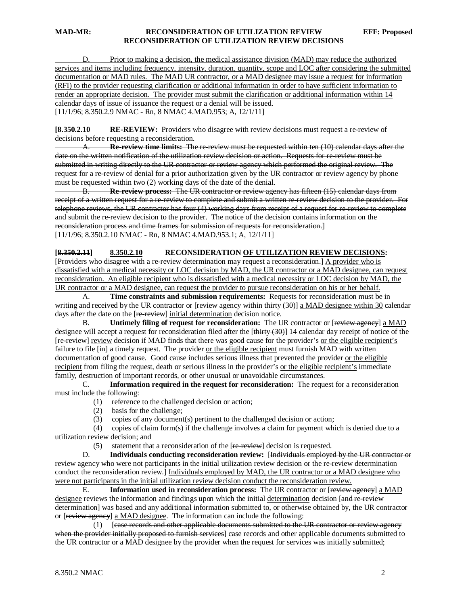### **MAD-MR: RECONSIDERATION OF UTILIZATION REVIEW EFF: Proposed RECONSIDERATION OF UTILIZATION REVIEW DECISIONS**

[11/1/96; 8.350.2.9 NMAC - Rn, 8 NMAC 4.MAD.953; A, 12/1/11] D. Prior to making a decision, the medical assistance division (MAD) may reduce the authorized services and items including frequency, intensity, duration, quantity, scope and LOC after considering the submitted documentation or MAD rules. The MAD UR contractor, or a MAD designee may issue a request for information (RFI) to the provider requesting clarification or additional information in order to have sufficient information to render an appropriate decision. The provider must submit the clarification or additional information within 14 calendar days of issue of issuance the request or a denial will be issued.

**[8.350.2.10 RE-REVIEW:** Providers who disagree with review decisions must request a re-review of decisions before requesting a reconsideration.

A. **Re-review time limits:** The re-review must be requested within ten (10) calendar days after the date on the written notification of the utilization review decision or action. Requests for re-review must be submitted in writing directly to the UR contractor or review agency which performed the original review. The request for a re-review of denial for a prior authorization given by the UR contractor or review agency by phone must be requested within two (2) working days of the date of the denial.

B. **Re-review process:** The UR contractor or review agency has fifteen (15) calendar days from receipt of a written request for a re-review to complete and submit a written re-review decision to the provider. For telephone reviews, the UR contractor has four (4) working days from receipt of a request for re-review to complete and submit the re-review decision to the provider. The notice of the decision contains information on the reconsideration process and time frames for submission of requests for reconsideration. ] [11/1/96; 8.350.2.10 NMAC - Rn, 8 NMAC 4.MAD.953.1; A, 12/1/11]

### **[8.350.2.11] 8.350.2.10 RECONSIDERATION OF UTILIZATION REVIEW DECISIONS:**

[Providers who disagree with a re-review determination may request a reconsideration.] A provider who is dissatisfied with a medical necessity or LOC decision by MAD, the UR contractor or a MAD designee, can request reconsideration. An eligible recipient who is dissatisfied with a medical necessity or LOC decision by MAD, the UR contractor or a MAD designee, can request the provider to pursue reconsideration on his or her behalf.

A. **Time constraints and submission requirements:** Requests for reconsideration must be in writing and received by the UR contractor or [review agency within thirty (30)] a MAD designee within 30 calendar days after the date on the [re-review] initial determination decision notice.

B. **Untimely filing of request for reconsideration:** The UR contractor or [review ageney] a MAD designee will accept a request for reconsideration filed after the [thirty (30)] 14 calendar day receipt of notice of the [re-review] review decision if MAD finds that there was good cause for the provider's or the eligible recipient's failure to file [in] a timely request. The provider or the eligible recipient must furnish MAD with written documentation of good cause. Good cause includes serious illness that prevented the provider or the eligible recipient from filing the request, death or serious illness in the provider's or the eligible recipient's immediate family, destruction of important records, or other unusual or unavoidable circumstances.

C. **Information required in the request for reconsideration:** The request for a reconsideration must include the following:

- (1) reference to the challenged decision or action;
- (2) basis for the challenge;
- (3) copies of any document(s) pertinent to the challenged decision or action;

 (4) copies of claim form(s) if the challenge involves a claim for payment which is denied due to a utilization review decision; and

 $(5)$  statement that a reconsideration of the  $[**re**-**review**]$  decision is requested.

D. **Individuals conducting reconsideration review:** [ Individuals employed by the UR contractor or review agency who were not participants in the initial utilization review decision or the re-review determination conduct the reconsideration review.] Individuals employed by MAD, the UR contractor or a MAD designee who were not participants in the initial utilization review decision conduct the reconsideration review.

E. **Information used in reconsideration process:** The UR contractor or [<del>review agency</del>] a MAD designee reviews the information and findings upon which the initial determination decision [and re-review determination] was based and any additional information submitted to, or otherwise obtained by, the UR contractor or [review agency] a MAD designee. The information can include the following:

(1) [ease records and other applicable documents submitted to the UR contractor or review agency when the provider initially proposed to furnish services] case records and other applicable documents submitted to the UR contractor or a MAD designee by the provider when the request for services was initially submitted;